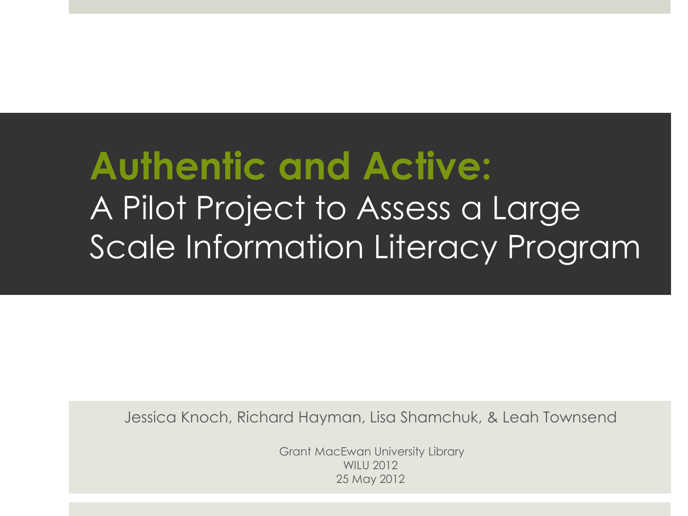# **Authentic and Active:**  A Pilot Project to Assess a Large Scale Information Literacy Program

Jessica Knoch, Richard Hayman, Lisa Shamchuk, & Leah Townsend

Grant MacEwan University Library WILU 2012 25 May 2012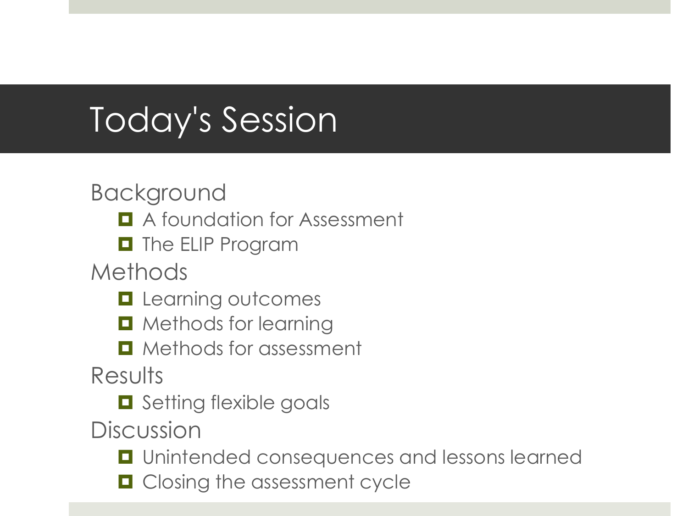# Today's Session

#### Background

- **A** foundation for Assessment
- **D** The ELIP Program

Methods

- **Learning outcomes**
- $\blacksquare$  Methods for learning
- $\blacksquare$  Methods for assessment

**Results** 

 $\Box$  Setting flexible goals

**Discussion** 

- $\Box$  Unintended consequences and lessons learned
- **O** Closing the assessment cycle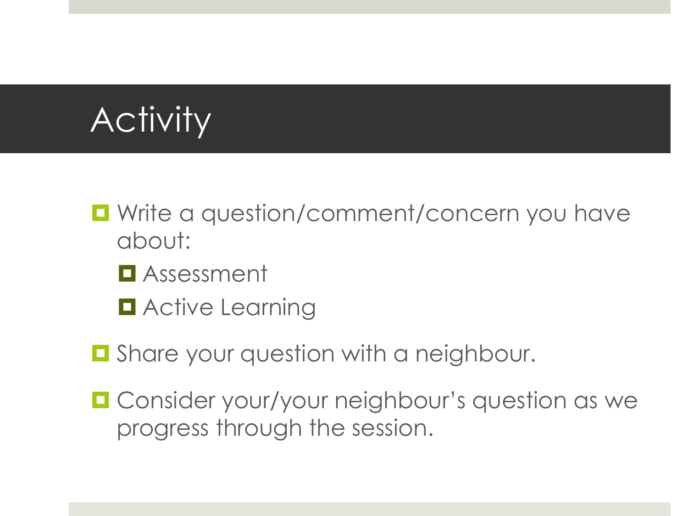# Activity

- $\blacksquare$  Write a question/comment/concern you have about:
	- Assessment
	- **D** Active Learning
- $\Box$  Share your question with a neighbour.
- $\blacksquare$  Consider your/your neighbour's question as we progress through the session.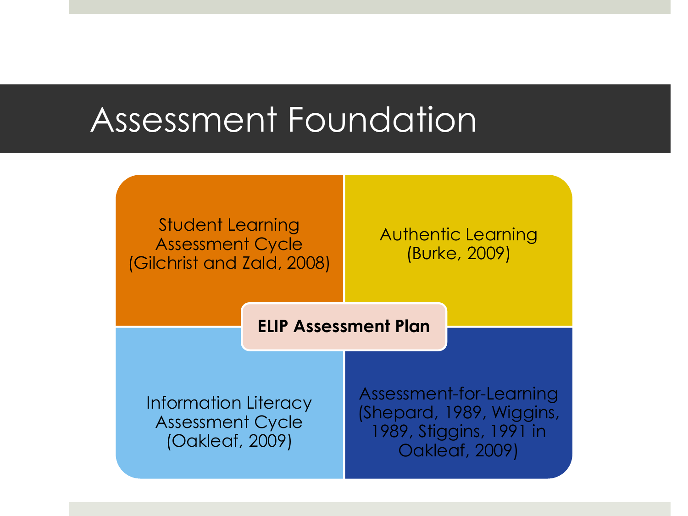### Assessment Foundation

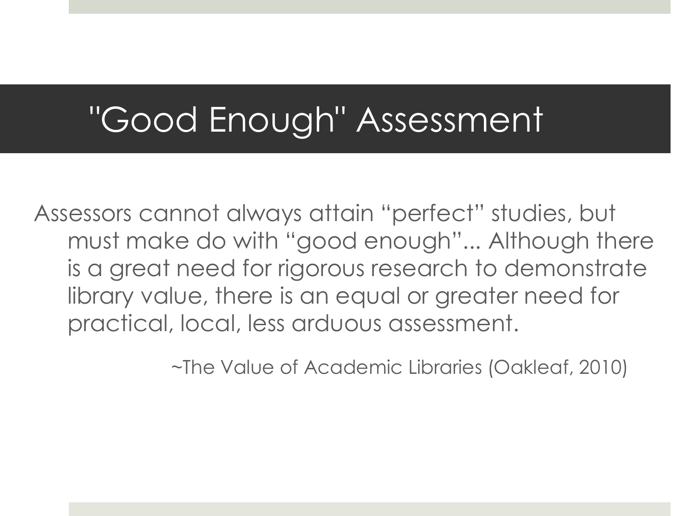### "Good Enough" Assessment

Assessors cannot always attain "perfect" studies, but must make do with "good enough"... Although there is a great need for rigorous research to demonstrate library value, there is an equal or greater need for practical, local, less arduous assessment.

~The Value of Academic Libraries (Oakleaf, 2010)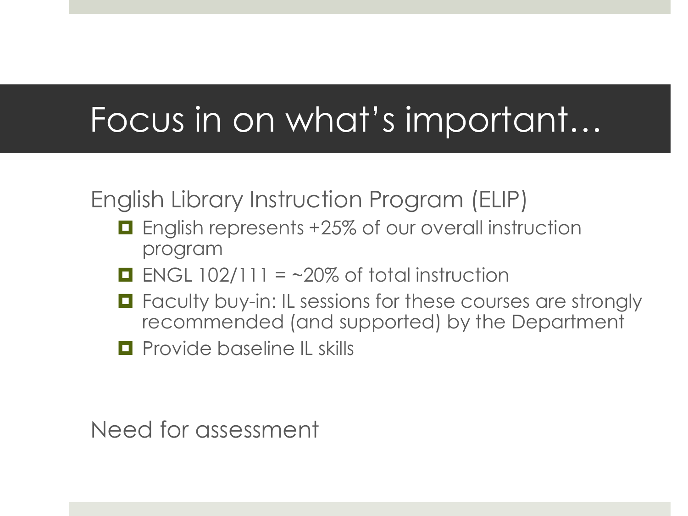# Focus in on what's important…

English Library Instruction Program (ELIP)

- **E** English represents +25% of our overall instruction program
- ENGL  $102/111 = -20\%$  of total instruction
- $\blacksquare$  Faculty buy-in: IL sessions for these courses are strongly recommended (and supported) by the Department
- **Provide baseline IL skills**

Need for assessment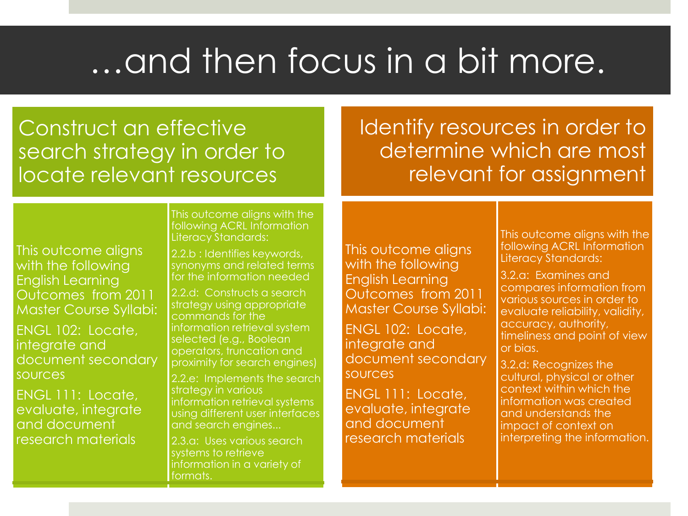# …and then focus in a bit more.

#### Construct an effective search strategy in order to locate relevant resources

Identify resources in order to determine which are most relevant for assignment

This outcome aligns with the following English Learning Outcomes from 2011 Master Course Syllabi:

ENGL 102: Locate, integrate and document secondary sources

ENGL 111: Locate, evaluate, integrate and document research materials

This outcome aligns with the following ACRL Information Literacy Standards:

2.2.b : Identifies keywords, synonyms and related terms for the information needed

2.2.d: Constructs a search strategy using appropriate commands for the information retrieval system selected (e.g., Boolean operators, truncation and proximity for search engines)

2.2.e: Implements the search strategy in various information retrieval systems using different user interfaces and search engines...

2.3.a: Uses various search systems to retrieve information in a variety of formats.

This outcome aligns with the following English Learning Outcomes from 2011 Master Course Syllabi:

ENGL 102: Locate, integrate and document secondary sources

ENGL 111: Locate, evaluate, integrate and document research materials

This outcome aligns with the following ACRL Information Literacy Standards:

3.2.a: Examines and compares information from various sources in order to evaluate reliability, validity, accuracy, authority, timeliness and point of view or bias.

3.2.d: Recognizes the cultural, physical or other context within which the information was created and understands the impact of context on interpreting the information.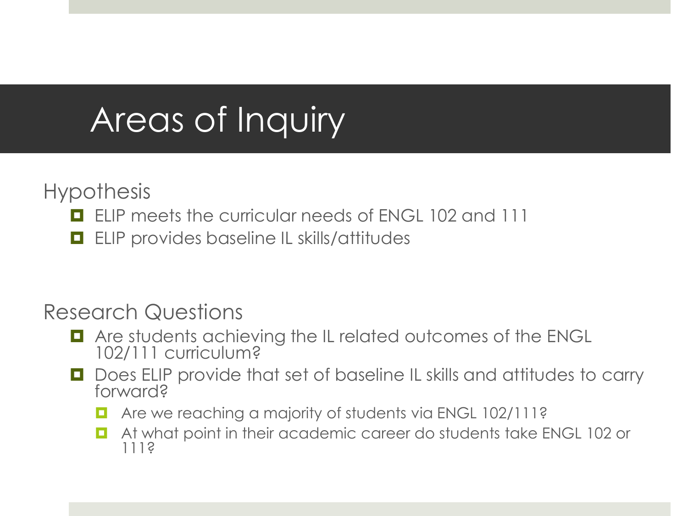# Areas of Inquiry

**Hypothesis** 

- **ELIP meets the curricular needs of ENGL 102 and 111**
- **ELIP** provides baseline IL skills/attitudes

Research Questions

- **T** Are students achieving the IL related outcomes of the ENGL 102/111 curriculum?
- Does ELIP provide that set of baseline IL skills and attitudes to carry forward?
	- Are we reaching a majority of students via ENGL 102/111?
	- **E** At what point in their academic career do students take ENGL 102 or 111?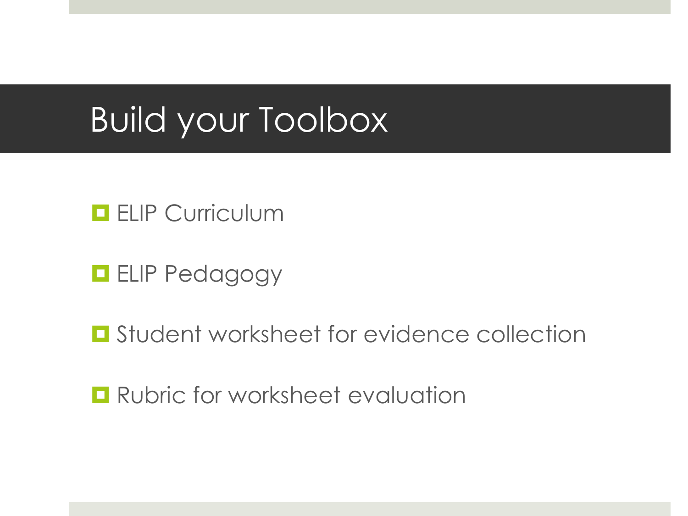## Build your Toolbox

#### **ELIP Curriculum**

#### **ELIP Pedagogy**

**E** Student worksheet for evidence collection

**Rubric for worksheet evaluation**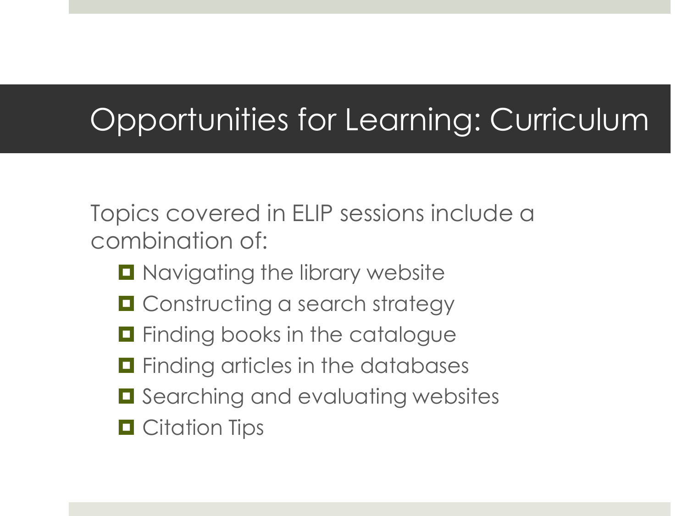#### Opportunities for Learning: Curriculum

Topics covered in ELIP sessions include a combination of:

- **D** Navigating the library website
- **O** Constructing a search strategy
- $\blacksquare$  Finding books in the catalogue
- $\blacksquare$  Finding articles in the databases
- $\blacksquare$  Searching and evaluating websites
- **O** Citation Tips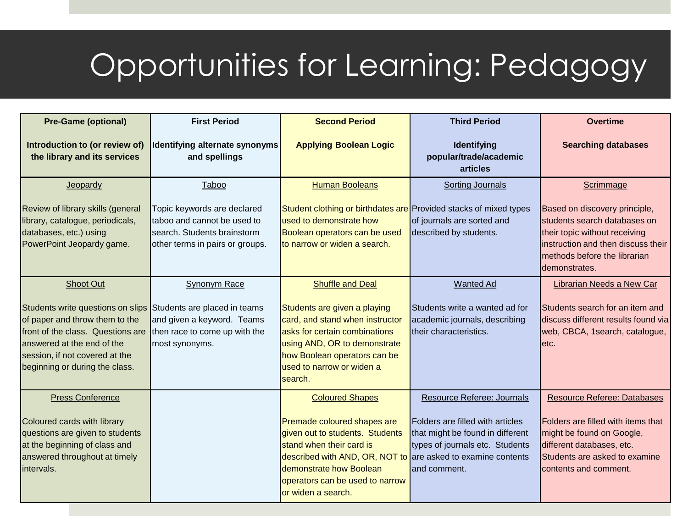### Opportunities for Learning: Pedagogy

| <b>Pre-Game (optional)</b>                                                                                                                                                                                                               | <b>First Period</b>                                                                                                          | <b>Second Period</b>                                                                                                                                                                                                                                                     | <b>Third Period</b>                                                                                                                                          | <b>Overtime</b>                                                                                                                                                                              |
|------------------------------------------------------------------------------------------------------------------------------------------------------------------------------------------------------------------------------------------|------------------------------------------------------------------------------------------------------------------------------|--------------------------------------------------------------------------------------------------------------------------------------------------------------------------------------------------------------------------------------------------------------------------|--------------------------------------------------------------------------------------------------------------------------------------------------------------|----------------------------------------------------------------------------------------------------------------------------------------------------------------------------------------------|
| Introduction to (or review of)<br>the library and its services                                                                                                                                                                           | Identifying alternate synonyms<br>and spellings                                                                              | <b>Applying Boolean Logic</b>                                                                                                                                                                                                                                            | Identifying<br>popular/trade/academic<br>articles                                                                                                            | <b>Searching databases</b>                                                                                                                                                                   |
| Jeopardy                                                                                                                                                                                                                                 | Taboo                                                                                                                        | <b>Human Booleans</b>                                                                                                                                                                                                                                                    | <b>Sorting Journals</b>                                                                                                                                      | Scrimmage                                                                                                                                                                                    |
| Review of library skills (general<br>library, catalogue, periodicals,<br>databases, etc.) using<br>PowerPoint Jeopardy game.                                                                                                             | Topic keywords are declared<br>taboo and cannot be used to<br>search. Students brainstorm<br>other terms in pairs or groups. | Student clothing or birthdates are Provided stacks of mixed types<br>used to demonstrate how<br>Boolean operators can be used<br>to narrow or widen a search.                                                                                                            | of journals are sorted and<br>described by students.                                                                                                         | Based on discovery principle,<br>students search databases on<br>their topic without receiving<br>instruction and then discuss their<br>Imethods before the librarian<br>demonstrates.       |
| <b>Shoot Out</b>                                                                                                                                                                                                                         | Synonym Race                                                                                                                 | <b>Shuffle and Deal</b>                                                                                                                                                                                                                                                  | <b>Wanted Ad</b>                                                                                                                                             | Librarian Needs a New Car                                                                                                                                                                    |
| Students write questions on slips Students are placed in teams<br>of paper and throw them to the<br>Ifront of the class. Questions are<br>answered at the end of the<br>session, if not covered at the<br>beginning or during the class. | and given a keyword. Teams<br>then race to come up with the<br>most synonyms.                                                | Students are given a playing<br>card, and stand when instructor<br>asks for certain combinations<br>using AND, OR to demonstrate<br>how Boolean operators can be<br>used to narrow or widen a<br>search.                                                                 | Students write a wanted ad for<br>academic journals, describing<br>Itheir characteristics.                                                                   | Students search for an item and<br>discuss different results found via<br>web, CBCA, 1search, catalogue,<br>letc.                                                                            |
| <b>Press Conference</b><br>Coloured cards with library<br>questions are given to students<br>at the beginning of class and<br>answered throughout at timely<br>intervals.                                                                |                                                                                                                              | <b>Coloured Shapes</b><br>Premade coloured shapes are<br>given out to students. Students<br>stand when their card is<br>described with AND, OR, NOT to are asked to examine contents<br>demonstrate how Boolean<br>operators can be used to narrow<br>or widen a search. | Resource Referee: Journals<br><b>Folders are filled with articles</b><br>that might be found in different<br>types of journals etc. Students<br>and comment. | <b>Resource Referee: Databases</b><br>Folders are filled with items that<br>might be found on Google,<br>different databases, etc.<br>Students are asked to examine<br>contents and comment. |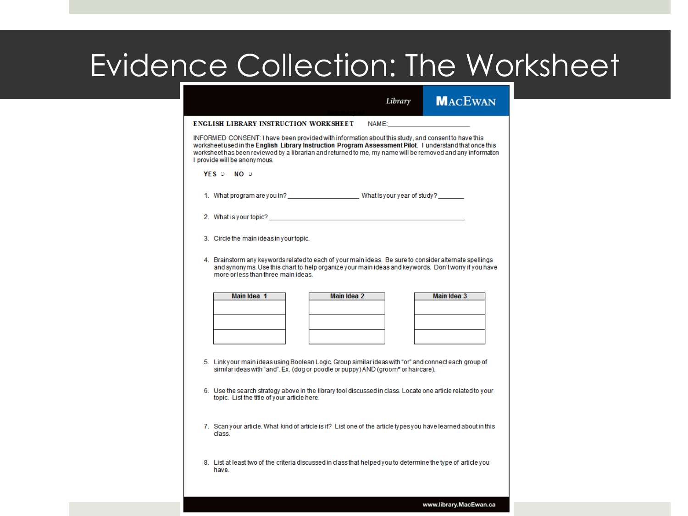#### Evidence Collection: The Worksheet

|                                                                                                                                                                                                                                                                                                                                                             | Library     | <b>MACEWAN</b>     |  |  |  |  |  |
|-------------------------------------------------------------------------------------------------------------------------------------------------------------------------------------------------------------------------------------------------------------------------------------------------------------------------------------------------------------|-------------|--------------------|--|--|--|--|--|
| ENGLISH LIBRARY INSTRUCTION WORKSHEET NAME: NAME:                                                                                                                                                                                                                                                                                                           |             |                    |  |  |  |  |  |
| INFORMED CONSENT: I have been provided with information about this study, and consent to have this<br>worksheet used in the English Library Instruction Program Assessment Pilot. I understand that once this<br>worksheet has been reviewed by a librarian and returned to me, my name will be removed and any information<br>I provide will be anonymous. |             |                    |  |  |  |  |  |
| $YES$ D NO D                                                                                                                                                                                                                                                                                                                                                |             |                    |  |  |  |  |  |
|                                                                                                                                                                                                                                                                                                                                                             |             |                    |  |  |  |  |  |
|                                                                                                                                                                                                                                                                                                                                                             |             |                    |  |  |  |  |  |
| 3. Circle the main ideas in your topic.                                                                                                                                                                                                                                                                                                                     |             |                    |  |  |  |  |  |
| 4. Brainstorm any keywords related to each of your main ideas. Be sure to consider alternate spellings<br>and synonyms. Use this chart to help organize your main ideas and keywords. Don't worry if you have<br>more or less than three main ideas.                                                                                                        |             |                    |  |  |  |  |  |
| Main Idea 1                                                                                                                                                                                                                                                                                                                                                 | Main Idea 2 | <b>Main Idea 3</b> |  |  |  |  |  |
|                                                                                                                                                                                                                                                                                                                                                             |             |                    |  |  |  |  |  |
|                                                                                                                                                                                                                                                                                                                                                             |             |                    |  |  |  |  |  |
|                                                                                                                                                                                                                                                                                                                                                             |             |                    |  |  |  |  |  |
| 5. Linkyour main ideas using Boolean Logic, Group similar ideas with "or" and connect each group of<br>similar ideas with "and". Ex. (dog or poodle or puppy) AND (groom* or haircare).                                                                                                                                                                     |             |                    |  |  |  |  |  |
| 6. Use the search strategy above in the library tool discussed in class. Locate one article related to your<br>topic. List the title of your article here.                                                                                                                                                                                                  |             |                    |  |  |  |  |  |
| 7. Scan your article. What kind of article is it? List one of the article types you have learned about in this<br>class.                                                                                                                                                                                                                                    |             |                    |  |  |  |  |  |
| 8. List at least two of the criteria discussed in class that helped you to determine the type of article you<br>have.                                                                                                                                                                                                                                       |             |                    |  |  |  |  |  |
|                                                                                                                                                                                                                                                                                                                                                             |             |                    |  |  |  |  |  |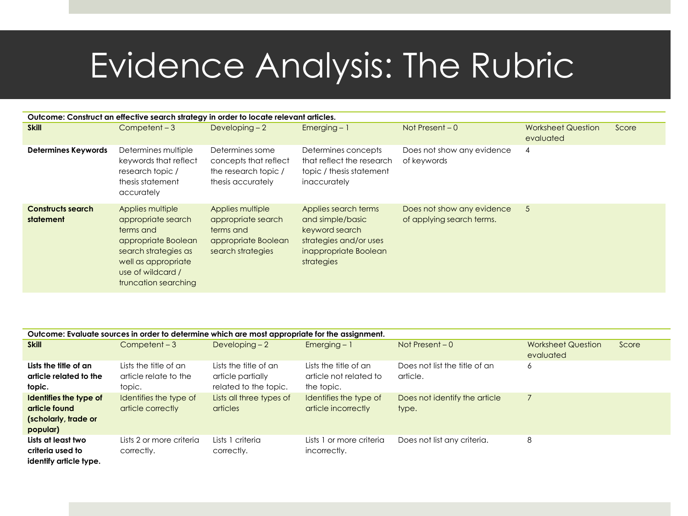## Evidence Analysis: The Rubric

| Outcome: Construct an effective search strategy in order to locate relevant articles. |                                                                                                                                                                        |                                                                                                 |                                                                                                                             |                                                         |                                        |       |
|---------------------------------------------------------------------------------------|------------------------------------------------------------------------------------------------------------------------------------------------------------------------|-------------------------------------------------------------------------------------------------|-----------------------------------------------------------------------------------------------------------------------------|---------------------------------------------------------|----------------------------------------|-------|
| <b>Skill</b>                                                                          | $Competent - 3$                                                                                                                                                        | Developing $-2$                                                                                 | $Emerging - 1$                                                                                                              | Not Present $-0$                                        | <b>Worksheet Question</b><br>evaluated | Score |
| <b>Determines Keywords</b>                                                            | Determines multiple<br>keywords that reflect<br>research topic /<br>thesis statement<br>accurately                                                                     | Determines some<br>concepts that reflect<br>the research topic /<br>thesis accurately           | Determines concepts<br>that reflect the research<br>topic / thesis statement<br>inaccurately                                | Does not show any evidence<br>of keywords               | 4                                      |       |
| <b>Constructs search</b><br>statement                                                 | Applies multiple<br>appropriate search<br>terms and<br>appropriate Boolean<br>search strategies as<br>well as appropriate<br>use of wildcard /<br>truncation searching | Applies multiple<br>appropriate search<br>terms and<br>appropriate Boolean<br>search strategies | Applies search terms<br>and simple/basic<br>keyword search<br>strategies and/or uses<br>inappropriate Boolean<br>strategies | Does not show any evidence<br>of applying search terms. | 5                                      |       |

| Outcome: Evaluate sources in order to determine which are most appropriate for the assignment. |                                                          |                                                                     |                                                               |                                           |                                        |       |
|------------------------------------------------------------------------------------------------|----------------------------------------------------------|---------------------------------------------------------------------|---------------------------------------------------------------|-------------------------------------------|----------------------------------------|-------|
| <b>Skill</b>                                                                                   | $Competent - 3$                                          | Developing $-2$                                                     | Emerging $-1$                                                 | Not Present $-0$                          | <b>Worksheet Question</b><br>evaluated | Score |
| Lists the title of an<br>article related to the<br>topic.                                      | Lists the title of an<br>article relate to the<br>topic. | Lists the title of an<br>article partially<br>related to the topic. | Lists the title of an<br>article not related to<br>the topic. | Does not list the title of an<br>article. | 6                                      |       |
| Identifies the type of<br>article found<br>(scholarly, trade or<br>popular)                    | Identifies the type of<br>article correctly              | Lists all three types of<br><b>articles</b>                         | Identifies the type of<br>article incorrectly                 | Does not identify the article<br>type.    |                                        |       |
| Lists at least two<br>criteria used to<br>identify article type.                               | Lists 2 or more criteria<br>correctly.                   | Lists 1 criteria<br>correctly.                                      | Lists 1 or more criteria<br>incorrectly.                      | Does not list any criteria.               | 8                                      |       |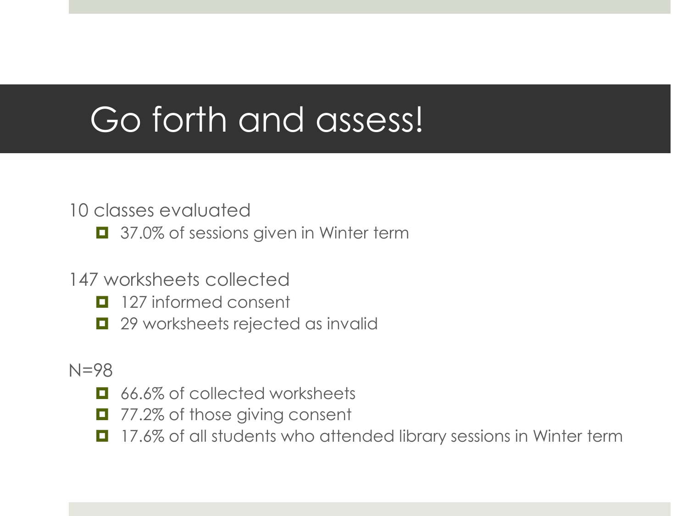## Go forth and assess!

#### 10 classes evaluated

- 37.0% of sessions given in Winter term
- 147 worksheets collected
	- **127** informed consent
	- **1** 29 worksheets rejected as invalid
- N=98
	- **E** 66.6% of collected worksheets
	- 77.2% of those giving consent
	- 17.6% of all students who attended library sessions in Winter term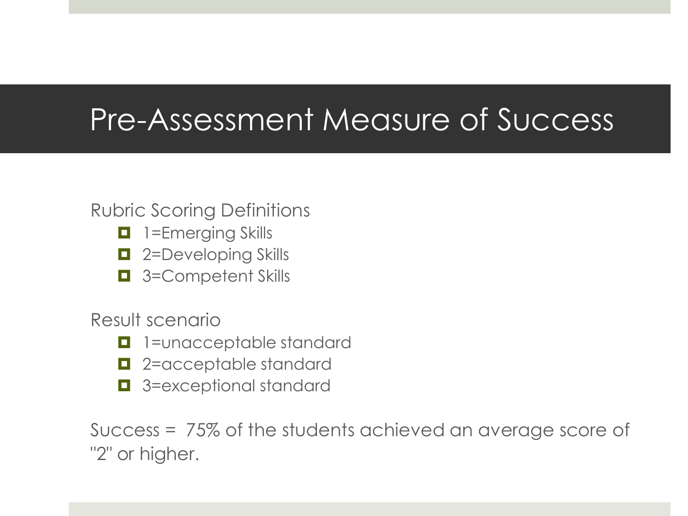#### Pre-Assessment Measure of Success

#### Rubric Scoring Definitions

- **1** 1=Emerging Skills
- $\Box$  2=Developing Skills
- 3=Competent Skills

Result scenario

- **1** 1=unacceptable standard
- $\blacksquare$  2=acceptable standard
- $\Box$  3=exceptional standard

Success = 75% of the students achieved an average score of "2" or higher.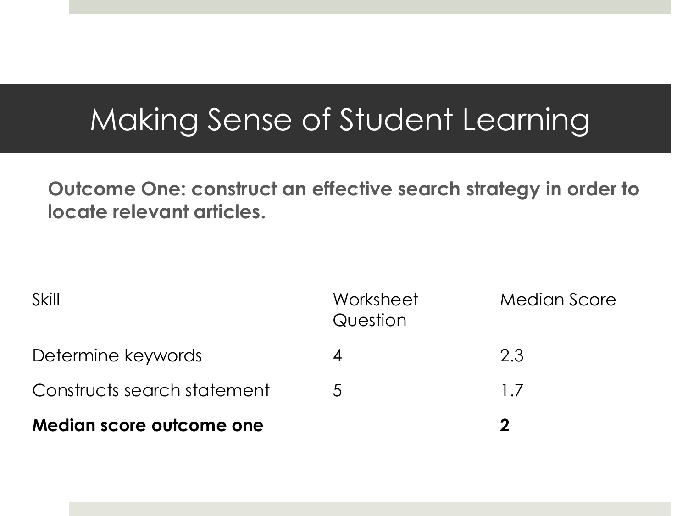#### Making Sense of Student Learning

**Outcome One: construct an effective search strategy in order to locate relevant articles.** 

| Median score outcome one    |                       | מ                   |
|-----------------------------|-----------------------|---------------------|
| Constructs search statement | 5.                    | $1\,7$              |
| Determine keywords          |                       | 2.3                 |
| Skill                       | Worksheet<br>Question | <b>Median Score</b> |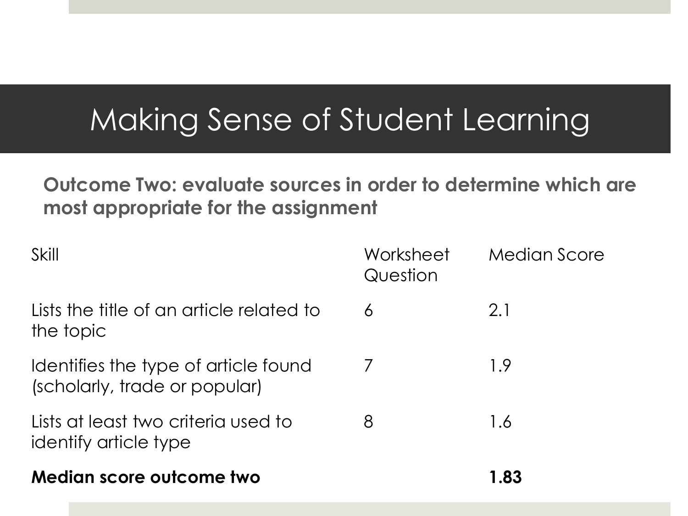#### Making Sense of Student Learning

#### **Outcome Two: evaluate sources in order to determine which are most appropriate for the assignment**

| Skill                                                                 | Worksheet<br>Question | Median Score |
|-----------------------------------------------------------------------|-----------------------|--------------|
| Lists the title of an article related to<br>the topic                 | 6                     | 2.1          |
| Identifies the type of article found<br>(scholarly, trade or popular) | 7                     | 1.9          |
| Lists at least two criteria used to<br>identify article type          | 8                     | 1.6          |
| Median score outcome two                                              |                       | 1.83         |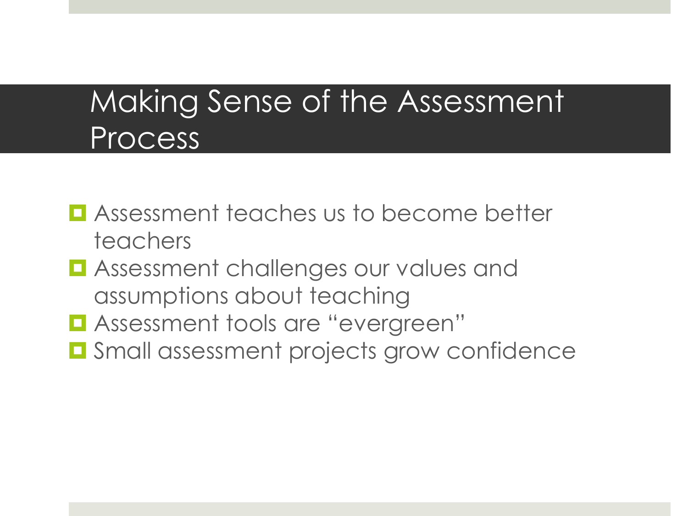#### Making Sense of the Assessment Process

- **E** Assessment teaches us to become better teachers
- **L** Assessment challenges our values and assumptions about teaching
- **L** Assessment tools are "evergreen"
- **O** Small assessment projects grow confidence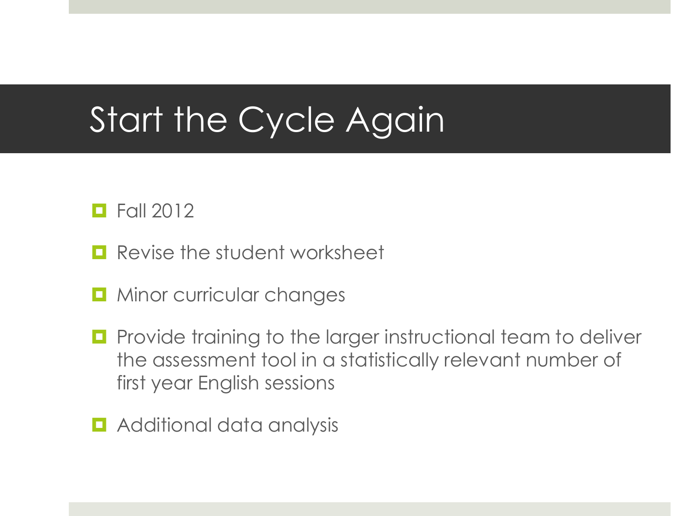## Start the Cycle Again

#### $\Box$  Fall 2012

- **Revise the student worksheet**
- Minor curricular changes
- **Provide training to the larger instructional team to deliver** the assessment tool in a statistically relevant number of first year English sessions
- $\blacksquare$  Additional data analysis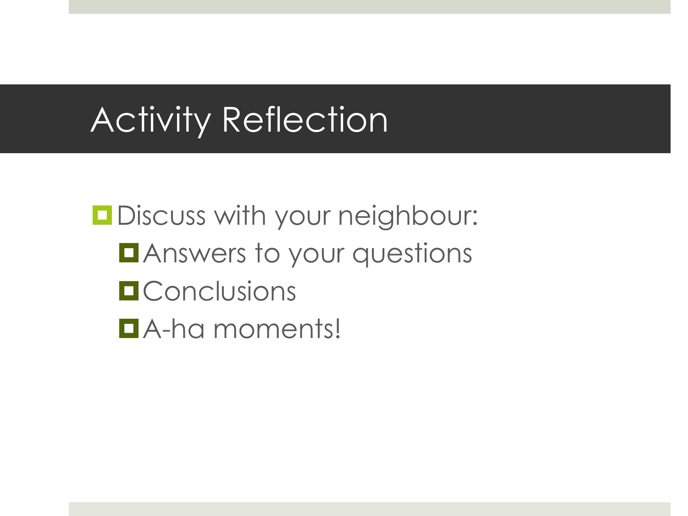## Activity Reflection

**Discuss with your neighbour: DAnswers to your questions O** Conclusions A-ha moments!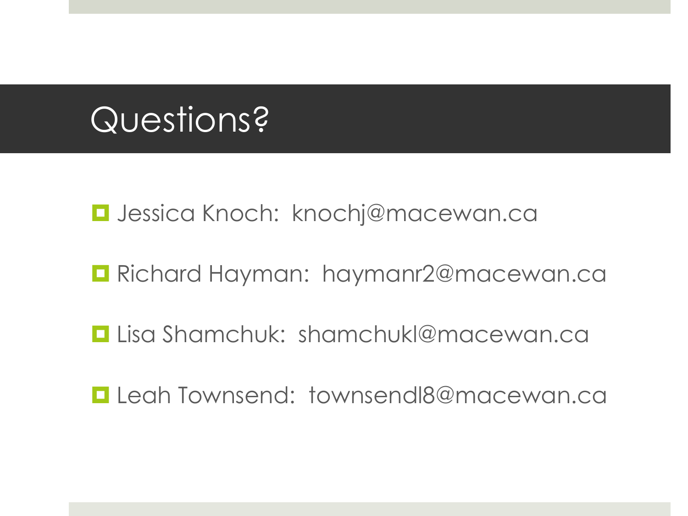## Questions?

■ Jessica Knoch: knochj@macewan.ca

**Richard Hayman: haymanr2@macewan.ca** 

**Lisa Shamchuk: shamchukl@macewan.ca** 

Leah Townsend: townsendl8@macewan.ca